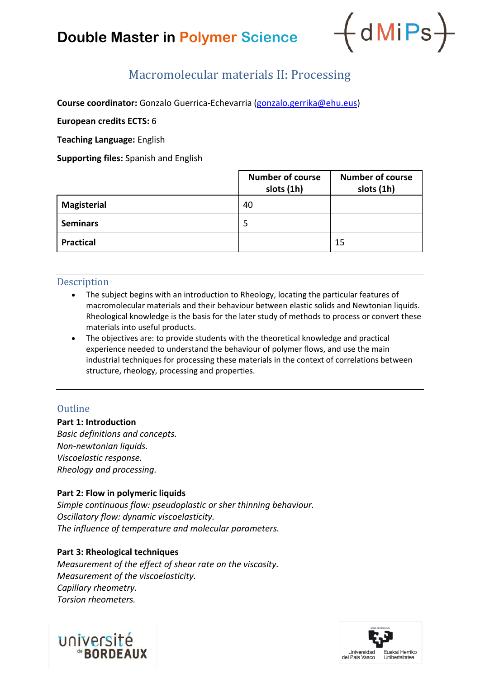# **Double Master in Polymer Science**



# Macromolecular materials II: Processing

**Course coordinator:** Gonzalo Guerrica-Echevarria [\(gonzalo.gerrika@ehu.eus\)](mailto:gonzalo.gerrika@ehu.eus)

**European credits ECTS:** 6

**Teaching Language:** English

**Supporting files:** Spanish and English

|                    | <b>Number of course</b><br>slots (1h) | <b>Number of course</b><br>slots (1h) |
|--------------------|---------------------------------------|---------------------------------------|
| <b>Magisterial</b> | 40                                    |                                       |
| <b>Seminars</b>    | 5                                     |                                       |
| <b>Practical</b>   |                                       | 15                                    |

### **Description**

- The subject begins with an introduction to Rheology, locating the particular features of macromolecular materials and their behaviour between elastic solids and Newtonian liquids. Rheological knowledge is the basis for the later study of methods to process or convert these materials into useful products.
- The objectives are: to provide students with the theoretical knowledge and practical experience needed to understand the behaviour of polymer flows, and use the main industrial techniques for processing these materials in the context of correlations between structure, rheology, processing and properties.

## **Outline**

**Part 1: Introduction**

*Basic definitions and concepts. Non-newtonian liquids. Viscoelastic response. Rheology and processing.*

#### **Part 2: Flow in polymeric liquids**

*Simple continuous flow: pseudoplastic or sher thinning behaviour. Oscillatory flow: dynamic viscoelasticity. The influence of temperature and molecular parameters.*

#### **Part 3: Rheological techniques**

*Measurement of the effect of shear rate on the viscosity. Measurement of the viscoelasticity. Capillary rheometry. Torsion rheometers.*